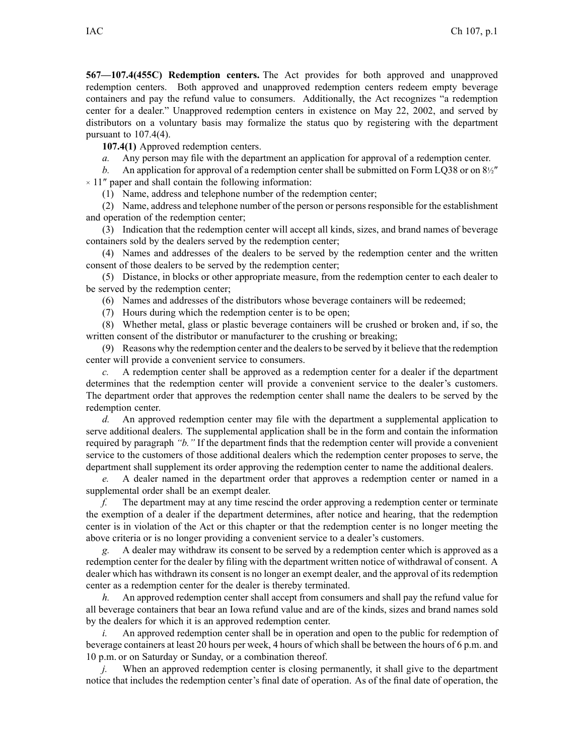**567—107.4(455C) Redemption centers.** The Act provides for both approved and unapproved redemption centers. Both approved and unapproved redemption centers redeem empty beverage containers and pay the refund value to consumers. Additionally, the Act recognizes "a redemption center for <sup>a</sup> dealer." Unapproved redemption centers in existence on May 22, 2002, and served by distributors on <sup>a</sup> voluntary basis may formalize the status quo by registering with the department pursuant to  $107.4(4)$ .

**107.4(1)** Approved redemption centers.

*a.* Any person may file with the department an application for approval of <sup>a</sup> redemption center.

*b.* An application for approval of <sup>a</sup> redemption center shall be submitted on Form LQ38 or on 8½″  $\times$  11" paper and shall contain the following information:

(1) Name, address and telephone number of the redemption center;

(2) Name, address and telephone number of the person or persons responsible for the establishment and operation of the redemption center;

(3) Indication that the redemption center will accep<sup>t</sup> all kinds, sizes, and brand names of beverage containers sold by the dealers served by the redemption center;

(4) Names and addresses of the dealers to be served by the redemption center and the written consent of those dealers to be served by the redemption center;

(5) Distance, in blocks or other appropriate measure, from the redemption center to each dealer to be served by the redemption center;

(6) Names and addresses of the distributors whose beverage containers will be redeemed;

(7) Hours during which the redemption center is to be open;

(8) Whether metal, glass or plastic beverage containers will be crushed or broken and, if so, the written consent of the distributor or manufacturer to the crushing or breaking;

(9) Reasons why the redemption center and the dealersto be served by it believe that the redemption center will provide <sup>a</sup> convenient service to consumers.

*c.* A redemption center shall be approved as <sup>a</sup> redemption center for <sup>a</sup> dealer if the department determines that the redemption center will provide <sup>a</sup> convenient service to the dealer's customers. The department order that approves the redemption center shall name the dealers to be served by the redemption center.

*d.* An approved redemption center may file with the department <sup>a</sup> supplemental application to serve additional dealers. The supplemental application shall be in the form and contain the information required by paragraph *"b."* If the department finds that the redemption center will provide <sup>a</sup> convenient service to the customers of those additional dealers which the redemption center proposes to serve, the department shall supplement its order approving the redemption center to name the additional dealers.

*e.* A dealer named in the department order that approves <sup>a</sup> redemption center or named in <sup>a</sup> supplemental order shall be an exemp<sup>t</sup> dealer.

*f.* The department may at any time rescind the order approving <sup>a</sup> redemption center or terminate the exemption of <sup>a</sup> dealer if the department determines, after notice and hearing, that the redemption center is in violation of the Act or this chapter or that the redemption center is no longer meeting the above criteria or is no longer providing <sup>a</sup> convenient service to <sup>a</sup> dealer's customers.

*g.* A dealer may withdraw its consent to be served by <sup>a</sup> redemption center which is approved as <sup>a</sup> redemption center for the dealer by filing with the department written notice of withdrawal of consent. A dealer which has withdrawn its consent is no longer an exemp<sup>t</sup> dealer, and the approval of its redemption center as <sup>a</sup> redemption center for the dealer is thereby terminated.

*h.* An approved redemption center shall accep<sup>t</sup> from consumers and shall pay the refund value for all beverage containers that bear an Iowa refund value and are of the kinds, sizes and brand names sold by the dealers for which it is an approved redemption center.

*i.* An approved redemption center shall be in operation and open to the public for redemption of beverage containers at least 20 hours per week, 4 hours of which shall be between the hours of 6 p.m. and 10 p.m. or on Saturday or Sunday, or <sup>a</sup> combination thereof.

When an approved redemption center is closing permanently, it shall give to the department notice that includes the redemption center's final date of operation. As of the final date of operation, the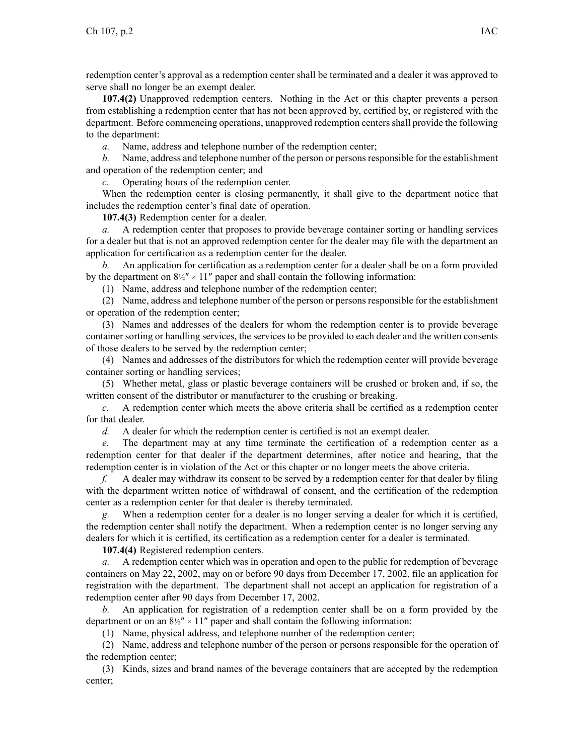redemption center's approval as <sup>a</sup> redemption center shall be terminated and <sup>a</sup> dealer it was approved to serve shall no longer be an exemp<sup>t</sup> dealer.

**107.4(2)** Unapproved redemption centers. Nothing in the Act or this chapter prevents <sup>a</sup> person from establishing <sup>a</sup> redemption center that has not been approved by, certified by, or registered with the department. Before commencing operations, unapproved redemption centers shall provide the following to the department:

*a.* Name, address and telephone number of the redemption center;

*b.* Name, address and telephone number of the person or persons responsible for the establishment and operation of the redemption center; and

*c.* Operating hours of the redemption center.

When the redemption center is closing permanently, it shall give to the department notice that includes the redemption center's final date of operation.

**107.4(3)** Redemption center for <sup>a</sup> dealer.

*a.* A redemption center that proposes to provide beverage container sorting or handling services for <sup>a</sup> dealer but that is not an approved redemption center for the dealer may file with the department an application for certification as <sup>a</sup> redemption center for the dealer.

*b.* An application for certification as <sup>a</sup> redemption center for <sup>a</sup> dealer shall be on <sup>a</sup> form provided by the department on  $8\frac{1}{2}$  × 11" paper and shall contain the following information:

(1) Name, address and telephone number of the redemption center;

(2) Name, address and telephone number of the person or persons responsible for the establishment or operation of the redemption center;

(3) Names and addresses of the dealers for whom the redemption center is to provide beverage container sorting or handling services, the services to be provided to each dealer and the written consents of those dealers to be served by the redemption center;

(4) Names and addresses of the distributors for which the redemption center will provide beverage container sorting or handling services;

(5) Whether metal, glass or plastic beverage containers will be crushed or broken and, if so, the written consent of the distributor or manufacturer to the crushing or breaking.

*c.* A redemption center which meets the above criteria shall be certified as <sup>a</sup> redemption center for that dealer.

*d.* A dealer for which the redemption center is certified is not an exemp<sup>t</sup> dealer.

*e.* The department may at any time terminate the certification of <sup>a</sup> redemption center as <sup>a</sup> redemption center for that dealer if the department determines, after notice and hearing, that the redemption center is in violation of the Act or this chapter or no longer meets the above criteria.

*f.* A dealer may withdraw its consent to be served by <sup>a</sup> redemption center for that dealer by filing with the department written notice of withdrawal of consent, and the certification of the redemption center as <sup>a</sup> redemption center for that dealer is thereby terminated.

*g.* When <sup>a</sup> redemption center for <sup>a</sup> dealer is no longer serving <sup>a</sup> dealer for which it is certified, the redemption center shall notify the department. When <sup>a</sup> redemption center is no longer serving any dealers for which it is certified, its certification as <sup>a</sup> redemption center for <sup>a</sup> dealer is terminated.

**107.4(4)** Registered redemption centers.

*a.* A redemption center which was in operation and open to the public for redemption of beverage containers on May 22, 2002, may on or before 90 days from December 17, 2002, file an application for registration with the department. The department shall not accep<sup>t</sup> an application for registration of <sup>a</sup> redemption center after 90 days from December 17, 2002.

*b.* An application for registration of <sup>a</sup> redemption center shall be on <sup>a</sup> form provided by the department or on an  $8\frac{1}{2}$  × 11" paper and shall contain the following information:

(1) Name, physical address, and telephone number of the redemption center;

(2) Name, address and telephone number of the person or persons responsible for the operation of the redemption center;

(3) Kinds, sizes and brand names of the beverage containers that are accepted by the redemption center;